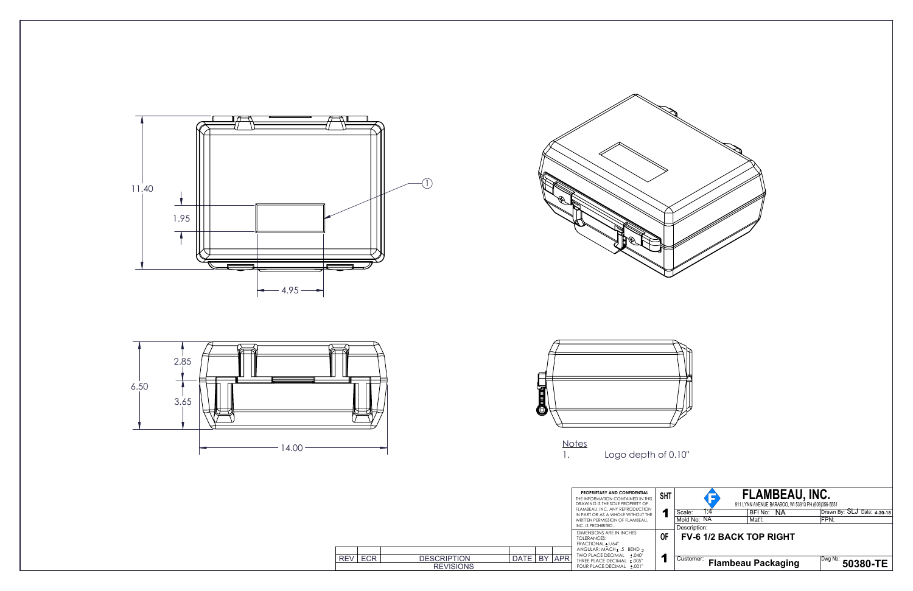









|            |            |                                        |      |        | <b>PROPRIETARY AND CONFIDENTIAL</b><br>THE INFORMATION CONTAINED IN THIS<br>DRAWING IS THE SOLE PROPERTY OF<br>FLAMBEAU, INC. ANY REPRODUCTION<br>IN PART OR AS A WHOLE WITHOUT THE<br>WRITTEN PERMISSION OF FLAMBEAU.<br>INC. IS PROHIBITED. | <b>SHT</b><br>и |  |
|------------|------------|----------------------------------------|------|--------|-----------------------------------------------------------------------------------------------------------------------------------------------------------------------------------------------------------------------------------------------|-----------------|--|
|            |            |                                        |      |        | DIMENSIONS ARE IN INCHES<br>TOI FRANCES:<br>FRACTIONAL ± 1/64"                                                                                                                                                                                | 0F              |  |
| <b>REV</b> | <b>ECR</b> | <b>DESCRIPTION</b><br><b>REVISIONS</b> | DATE | BY APR | ANGULAR: MACH + .5 BEND +<br>TWO PLACE DECIMAL +.040"<br>THREE PLACE DECIMAL +.005"<br>FOUR PLACE DECIMAL +.001"                                                                                                                              |                 |  |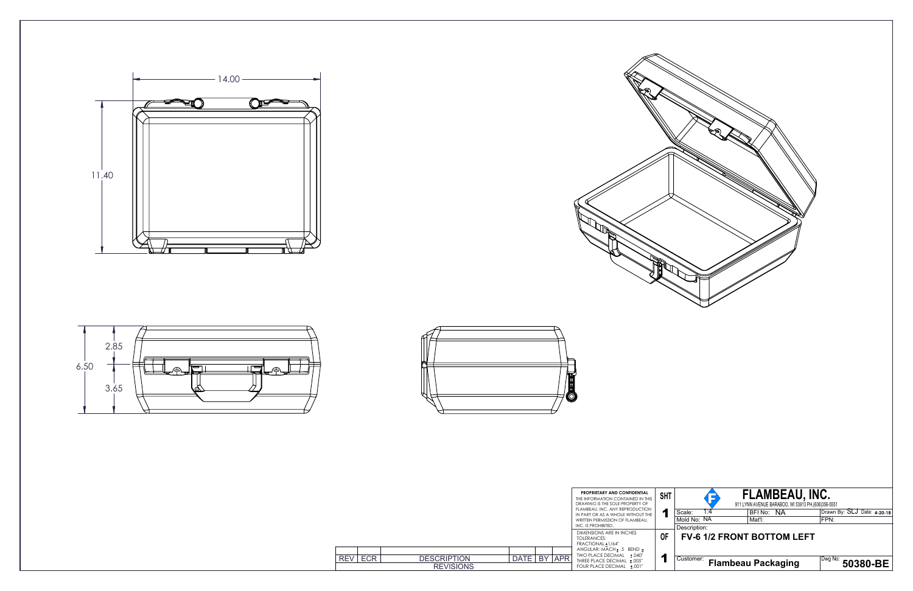





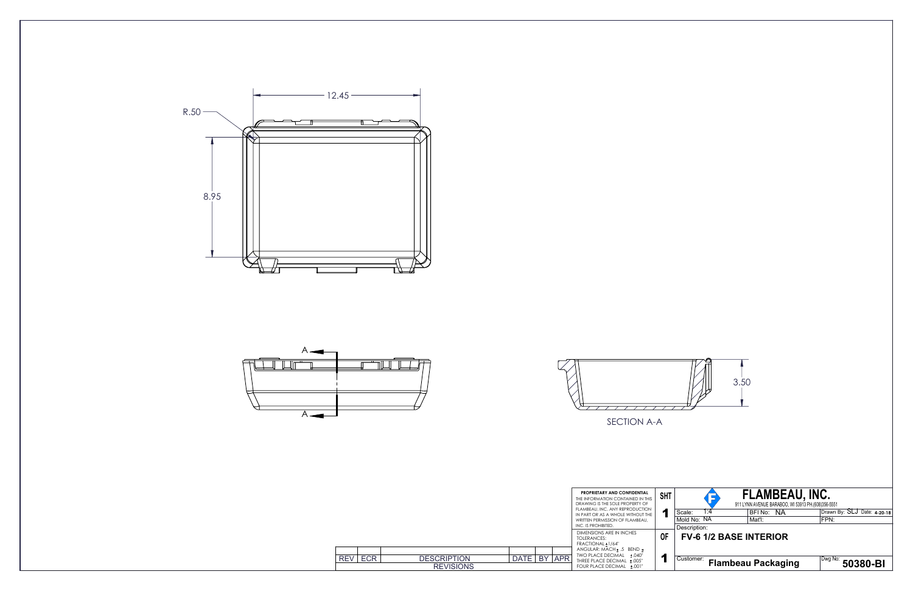





SECTION A-A

|            |            |                                        |             |      |            | <b>PROPRIETARY AND CONFIDENTIAL</b><br>THE INFORMATION CONTAINED IN THIS<br>DRAWING IS THE SOLE PROPERTY OF<br>FLAMBEAU, INC. ANY REPRODUCTION<br>IN PART OR AS A WHOLE WITHOUT THE<br>WRITTEN PERMISSION OF FLAMBEAU.<br>INC. IS PROHIBITED. | <b>SHT</b><br>и | Sc<br>M<br>De           |
|------------|------------|----------------------------------------|-------------|------|------------|-----------------------------------------------------------------------------------------------------------------------------------------------------------------------------------------------------------------------------------------------|-----------------|-------------------------|
|            |            |                                        |             |      |            | DIMENSIONS ARE IN INCHES<br>TOLERANCES:<br>FRACTIONAL + 1/64"                                                                                                                                                                                 | 0F              |                         |
| <b>REV</b> | <b>ECR</b> | <b>DESCRIPTION</b><br><b>REVISIONS</b> | <b>DATE</b> | BY I | <b>APR</b> | ANGULAR: MACH + .5 BEND +<br>TWO PLACE DECIMAL +.040"<br>THREE PLACE DECIMAL ±.005"<br>FOUR PLACE DECIMAL +.001"                                                                                                                              |                 | $\overline{\mathrm{C}}$ |